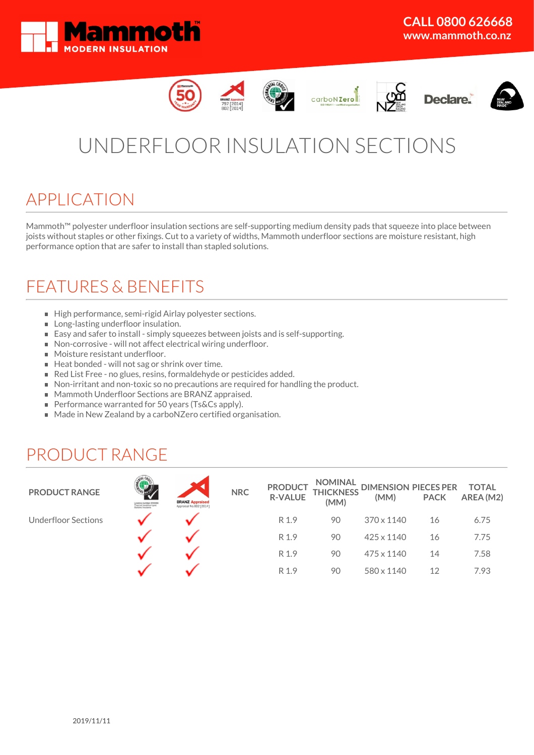













# UNDERFLOOR INSULATION SECTIONS

# APPLICATION

Mammoth™ polyester underfloor insulation sections are self-supporting medium density pads that squeeze into place between joists without staples or other fixings. Cut to a variety of widths, Mammoth underfloor sections are moisture resistant, high performance option that are safer to install than stapled solutions.

# FEATURES & BENEFITS

- High performance, semi-rigid Airlay polyester sections.
- **Long-lasting underfloor insulation.**
- Easy and safer to install simply squeezes between joists and is self-supporting.
- Non-corrosive will not affect electrical wiring underfloor.
- Moisture resistant underfloor.
- Heat bonded will not sag or shrink over time.
- Red List Free no glues, resins, formaldehyde or pesticides added.
- Non-irritant and non-toxic so no precautions are required for handling the product.
- Mammoth Underfloor Sections are BRANZ appraised.
- Performance warranted for 50 years (Ts&Cs apply).
- Made in New Zealand by a carboNZero certified organisation.

# PRODUCT RANGE

| <b>PRODUCT RANGE</b>       | Licence mamber 2510000<br>Thermal (resistive-type)<br>Daliding insulants | <b>BRANZ Appraised</b><br>Appraisal No.802 [2014] | <b>NRC</b> | <b>PRODUCT</b><br><b>R-VALUE</b> | (MM) | NOMINAL DIMENSION PIECES PER TOTAL<br>THICKNESS (MAA) BACK AREA (MA<br>(MM) | <b>PACK</b> | AREA (M2) |
|----------------------------|--------------------------------------------------------------------------|---------------------------------------------------|------------|----------------------------------|------|-----------------------------------------------------------------------------|-------------|-----------|
| <b>Underfloor Sections</b> |                                                                          |                                                   |            | R 1.9                            | 90   | 370 x 1140                                                                  | 16          | 6.75      |
|                            |                                                                          |                                                   |            | R 1.9                            | 90   | 425 x 1140                                                                  | 16          | 7.75      |
|                            |                                                                          |                                                   |            | R 1.9                            | 90   | 475 x 1140                                                                  | 14          | 7.58      |
|                            |                                                                          |                                                   |            | R 1.9                            | 90   | 580 x 1140                                                                  | 12          | 7.93      |